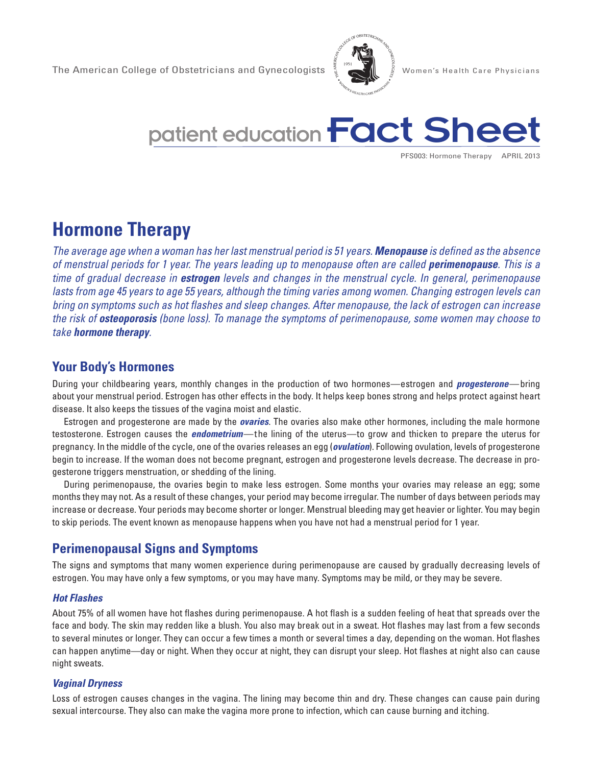



PFS003: Hormone Therapy APRIL 2013

# **Hormone Therapy**

*The average age when a woman has her last menstrual period is 51 years. Menopause is defined as the absence of menstrual periods for 1 year. The years leading up to menopause often are called perimenopause. This is a time of gradual decrease in estrogen levels and changes in the menstrual cycle. In general, perimenopause lasts from age 45 years to age 55 years, although the timing varies among women. Changing estrogen levels can bring on symptoms such as hot flashes and sleep changes. After menopause, the lack of estrogen can increase the risk of osteoporosis (bone loss). To manage the symptoms of perimenopause, some women may choose to take hormone therapy.* 

# **Your Body's Hormones**

During your childbearing years, monthly changes in the production of two hormones—estrogen and *progesterone*—bring about your menstrual period. Estrogen has other effects in the body. It helps keep bones strong and helps protect against heart disease. It also keeps the tissues of the vagina moist and elastic.

Estrogen and progesterone are made by the *ovaries*. The ovaries also make other hormones, including the male hormone testosterone. Estrogen causes the *endometrium*—the lining of the uterus—to grow and thicken to prepare the uterus for pregnancy. In the middle of the cycle, one of the ovaries releases an egg (*ovulation*). Following ovulation, levels of progesterone begin to increase. If the woman does not become pregnant, estrogen and progesterone levels decrease. The decrease in progesterone triggers menstruation, or shedding of the lining.

During perimenopause, the ovaries begin to make less estrogen. Some months your ovaries may release an egg; some months they may not. As a result of these changes, your period may become irregular. The number of days between periods may increase or decrease. Your periods may become shorter or longer. Menstrual bleeding may get heavier or lighter. You may begin to skip periods. The event known as menopause happens when you have not had a menstrual period for 1 year.

# **Perimenopausal Signs and Symptoms**

The signs and symptoms that many women experience during perimenopause are caused by gradually decreasing levels of estrogen. You may have only a few symptoms, or you may have many. Symptoms may be mild, or they may be severe.

#### *Hot Flashes*

About 75% of all women have hot flashes during perimenopause. A hot flash is a sudden feeling of heat that spreads over the face and body. The skin may redden like a blush. You also may break out in a sweat. Hot flashes may last from a few seconds to several minutes or longer. They can occur a few times a month or several times a day, depending on the woman. Hot flashes can happen anytime—day or night. When they occur at night, they can disrupt your sleep. Hot flashes at night also can cause night sweats.

#### *Vaginal Dryness*

Loss of estrogen causes changes in the vagina. The lining may become thin and dry. These changes can cause pain during sexual intercourse. They also can make the vagina more prone to infection, which can cause burning and itching.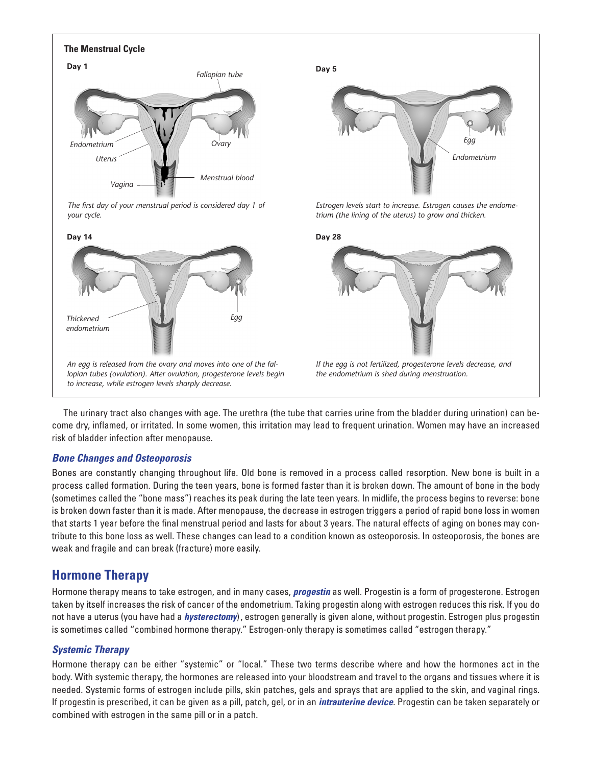

The urinary tract also changes with age. The urethra (the tube that carries urine from the bladder during urination) can become dry, inflamed, or irritated. In some women, this irritation may lead to frequent urination. Women may have an increased risk of bladder infection after menopause.

#### *Bone Changes and Osteoporosis*

Bones are constantly changing throughout life. Old bone is removed in a process called resorption. New bone is built in a process called formation. During the teen years, bone is formed faster than it is broken down. The amount of bone in the body (sometimes called the "bone mass") reaches its peak during the late teen years. In midlife, the process begins to reverse: bone is broken down faster than it is made. After menopause, the decrease in estrogen triggers a period of rapid bone loss in women that starts 1 year before the final menstrual period and lasts for about 3 years. The natural effects of aging on bones may contribute to this bone loss as well. These changes can lead to a condition known as osteoporosis. In osteoporosis, the bones are weak and fragile and can break (fracture) more easily.

### **Hormone Therapy**

Hormone therapy means to take estrogen, and in many cases, *progestin* as well. Progestin is a form of progesterone. Estrogen taken by itself increases the risk of cancer of the endometrium. Taking progestin along with estrogen reduces this risk. If you do not have a uterus (you have had a *hysterectomy*) , estrogen generally is given alone, without progestin. Estrogen plus progestin is sometimes called "combined hormone therapy." Estrogen-only therapy is sometimes called "estrogen therapy."

#### *Systemic Therapy*

Hormone therapy can be either "systemic" or "local." These two terms describe where and how the hormones act in the body. With systemic therapy, the hormones are released into your bloodstream and travel to the organs and tissues where it is needed. Systemic forms of estrogen include pills, skin patches, gels and sprays that are applied to the skin, and vaginal rings. If progestin is prescribed, it can be given as a pill, patch, gel, or in an *intrauterine device*. Progestin can be taken separately or combined with estrogen in the same pill or in a patch.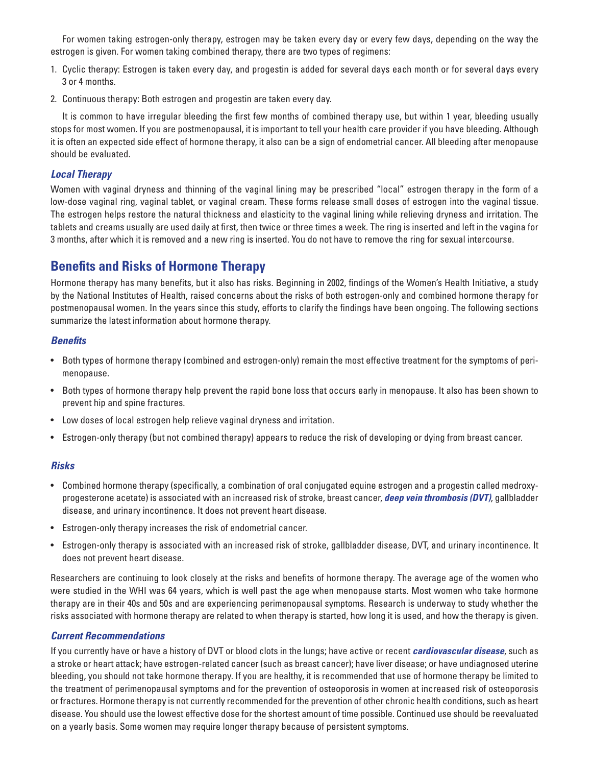For women taking estrogen-only therapy, estrogen may be taken every day or every few days, depending on the way the estrogen is given. For women taking combined therapy, there are two types of regimens:

- 1. Cyclic therapy: Estrogen is taken every day, and progestin is added for several days each month or for several days every 3 or 4 months.
- 2. Continuous therapy: Both estrogen and progestin are taken every day.

It is common to have irregular bleeding the first few months of combined therapy use, but within 1 year, bleeding usually stops for most women. If you are postmenopausal, it is important to tell your health care provider if you have bleeding. Although it is often an expected side effect of hormone therapy, it also can be a sign of endometrial cancer. All bleeding after menopause should be evaluated.

#### *Local Therapy*

Women with vaginal dryness and thinning of the vaginal lining may be prescribed "local" estrogen therapy in the form of a low-dose vaginal ring, vaginal tablet, or vaginal cream. These forms release small doses of estrogen into the vaginal tissue. The estrogen helps restore the natural thickness and elasticity to the vaginal lining while relieving dryness and irritation. The tablets and creams usually are used daily at first, then twice or three times a week. The ring is inserted and left in the vagina for 3 months, after which it is removed and a new ring is inserted. You do not have to remove the ring for sexual intercourse.

# **Benefits and Risks of Hormone Therapy**

Hormone therapy has many benefits, but it also has risks. Beginning in 2002, findings of the Women's Health Initiative, a study by the National Institutes of Health, raised concerns about the risks of both estrogen-only and combined hormone therapy for postmenopausal women. In the years since this study, efforts to clarify the findings have been ongoing. The following sections summarize the latest information about hormone therapy.

#### *Benefits*

- • Both types of hormone therapy (combined and estrogen-only) remain the most effective treatment for the symptoms of perimenopause.
- • Both types of hormone therapy help prevent the rapid bone loss that occurs early in menopause. It also has been shown to prevent hip and spine fractures.
- • Low doses of local estrogen help relieve vaginal dryness and irritation.
- • Estrogen-only therapy (but not combined therapy) appears to reduce the risk of developing or dying from breast cancer.

#### *Risks*

- • Combined hormone therapy (specifically, a combination of oral conjugated equine estrogen and a progestin called medroxyprogesterone acetate) is associated with an increased risk of stroke, breast cancer, *deep vein thrombosis (DVT)*, gallbladder disease, and urinary incontinence. It does not prevent heart disease.
- • Estrogen-only therapy increases the risk of endometrial cancer.
- • Estrogen-only therapy is associated with an increased risk of stroke, gallbladder disease, DVT, and urinary incontinence. It does not prevent heart disease.

Researchers are continuing to look closely at the risks and benefits of hormone therapy. The average age of the women who were studied in the WHI was 64 years, which is well past the age when menopause starts. Most women who take hormone therapy are in their 40s and 50s and are experiencing perimenopausal symptoms. Research is underway to study whether the risks associated with hormone therapy are related to when therapy is started, how long it is used, and how the therapy is given.

#### *Current Recommendations*

If you currently have or have a history of DVT or blood clots in the lungs; have active or recent *cardiovascular disease*, such as a stroke or heart attack; have estrogen-related cancer (such as breast cancer); have liver disease; or have undiagnosed uterine bleeding, you should not take hormone therapy. If you are healthy, it is recommended that use of hormone therapy be limited to the treatment of perimenopausal symptoms and for the prevention of osteoporosis in women at increased risk of osteoporosis or fractures. Hormone therapy is not currently recommended for the prevention of other chronic health conditions, such as heart disease. You should use the lowest effective dose for the shortest amount of time possible. Continued use should be reevaluated on a yearly basis. Some women may require longer therapy because of persistent symptoms.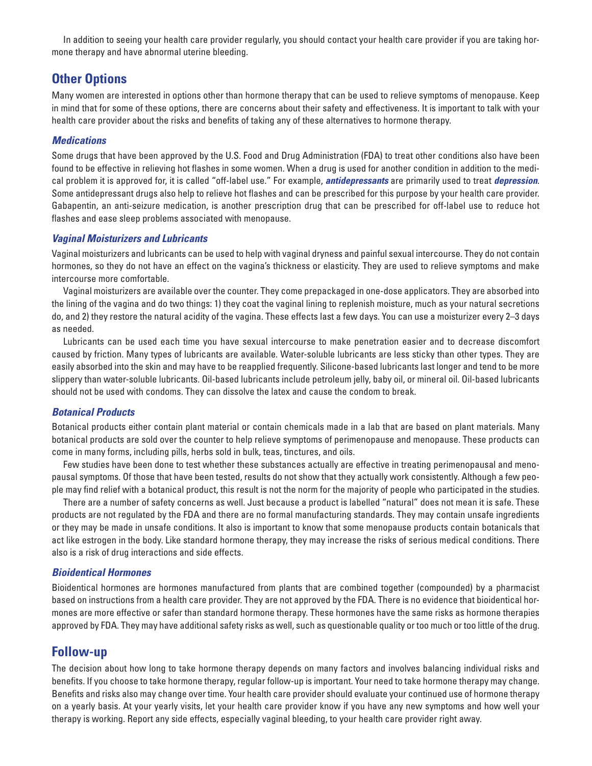In addition to seeing your health care provider regularly, you should contact your health care provider if you are taking hormone therapy and have abnormal uterine bleeding.

# **Other Options**

Many women are interested in options other than hormone therapy that can be used to relieve symptoms of menopause. Keep in mind that for some of these options, there are concerns about their safety and effectiveness. It is important to talk with your health care provider about the risks and benefits of taking any of these alternatives to hormone therapy.

#### *Medications*

Some drugs that have been approved by the U.S. Food and Drug Administration (FDA) to treat other conditions also have been found to be effective in relieving hot flashes in some women. When a drug is used for another condition in addition to the medical problem it is approved for, it is called "off-label use." For example, *antidepressants* are primarily used to treat *depression*. Some antidepressant drugs also help to relieve hot flashes and can be prescribed for this purpose by your health care provider. Gabapentin, an anti-seizure medication, is another prescription drug that can be prescribed for off-label use to reduce hot flashes and ease sleep problems associated with menopause.

#### *Vaginal Moisturizers and Lubricants*

Vaginal moisturizers and lubricants can be used to help with vaginal dryness and painful sexual intercourse. They do not contain hormones, so they do not have an effect on the vagina's thickness or elasticity. They are used to relieve symptoms and make intercourse more comfortable.

Vaginal moisturizers are available over the counter. They come prepackaged in one-dose applicators. They are absorbed into the lining of the vagina and do two things: 1) they coat the vaginal lining to replenish moisture, much as your natural secretions do, and 2) they restore the natural acidity of the vagina. These effects last a few days. You can use a moisturizer every 2–3 days as needed.

Lubricants can be used each time you have sexual intercourse to make penetration easier and to decrease discomfort caused by friction. Many types of lubricants are available. Water-soluble lubricants are less sticky than other types. They are easily absorbed into the skin and may have to be reapplied frequently. Silicone-based lubricants last longer and tend to be more slippery than water-soluble lubricants. Oil-based lubricants include petroleum jelly, baby oil, or mineral oil. Oil-based lubricants should not be used with condoms. They can dissolve the latex and cause the condom to break.

#### *Botanical Products*

Botanical products either contain plant material or contain chemicals made in a lab that are based on plant materials. Many botanical products are sold over the counter to help relieve symptoms of perimenopause and menopause. These products can come in many forms, including pills, herbs sold in bulk, teas, tinctures, and oils.

Few studies have been done to test whether these substances actually are effective in treating perimenopausal and menopausal symptoms. Of those that have been tested, results do not show that they actually work consistently. Although a few people may find relief with a botanical product, this result is not the norm for the majority of people who participated in the studies.

There are a number of safety concerns as well. Just because a product is labelled "natural" does not mean it is safe. These products are not regulated by the FDA and there are no formal manufacturing standards. They may contain unsafe ingredients or they may be made in unsafe conditions. It also is important to know that some menopause products contain botanicals that act like estrogen in the body. Like standard hormone therapy, they may increase the risks of serious medical conditions. There also is a risk of drug interactions and side effects.

#### *Bioidentical Hormones*

Bioidentical hormones are hormones manufactured from plants that are combined together (compounded) by a pharmacist based on instructions from a health care provider. They are not approved by the FDA. There is no evidence that bioidentical hormones are more effective or safer than standard hormone therapy. These hormones have the same risks as hormone therapies approved by FDA. They may have additional safety risks as well, such as questionable quality or too much or too little of the drug.

### **Follow-up**

The decision about how long to take hormone therapy depends on many factors and involves balancing individual risks and benefits. If you choose to take hormone therapy, regular follow-up is important. Your need to take hormone therapy may change. Benefits and risks also may change over time. Your health care provider should evaluate your continued use of hormone therapy on a yearly basis. At your yearly visits, let your health care provider know if you have any new symptoms and how well your therapy is working. Report any side effects, especially vaginal bleeding, to your health care provider right away.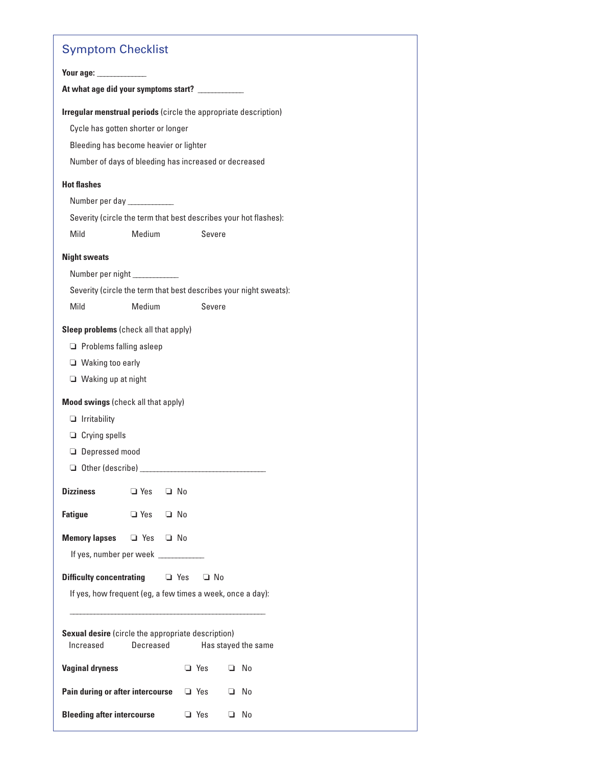# Symptom Checklist

| . <b>. .</b>                                                    |            |           |            |                                                                   |
|-----------------------------------------------------------------|------------|-----------|------------|-------------------------------------------------------------------|
| Your age:                                                       |            |           |            |                                                                   |
| At what age did your symptoms start? ___________                |            |           |            |                                                                   |
|                                                                 |            |           |            | Irregular menstrual periods (circle the appropriate description)  |
| Cycle has gotten shorter or longer                              |            |           |            |                                                                   |
| Bleeding has become heavier or lighter                          |            |           |            |                                                                   |
| Number of days of bleeding has increased or decreased           |            |           |            |                                                                   |
| <b>Hot flashes</b>                                              |            |           |            |                                                                   |
| Number per day                                                  |            |           |            |                                                                   |
|                                                                 |            |           |            | Severity (circle the term that best describes your hot flashes):  |
| Mild                                                            | Medium     |           | Severe     |                                                                   |
| <b>Night sweats</b>                                             |            |           |            |                                                                   |
| Number per night _____________                                  |            |           |            |                                                                   |
|                                                                 |            |           |            | Severity (circle the term that best describes your night sweats): |
| Mild                                                            | Medium     |           | Severe     |                                                                   |
| Sleep problems (check all that apply)                           |            |           |            |                                                                   |
| $\Box$ Problems falling asleep                                  |            |           |            |                                                                   |
| $\Box$ Waking too early                                         |            |           |            |                                                                   |
| Waking up at night                                              |            |           |            |                                                                   |
| Mood swings (check all that apply)                              |            |           |            |                                                                   |
| $\Box$ Irritability                                             |            |           |            |                                                                   |
| $\Box$ Crying spells                                            |            |           |            |                                                                   |
| <b>Depressed mood</b>                                           |            |           |            |                                                                   |
|                                                                 |            |           |            |                                                                   |
| <b>Dizziness</b>                                                | $\Box$ Yes | $\Box$ No |            |                                                                   |
| <b>Fatigue</b>                                                  | $\Box$ Yes | $\Box$ No |            |                                                                   |
|                                                                 |            |           |            |                                                                   |
| <b>Memory lapses</b>                                            | □ Yes □ No |           |            |                                                                   |
| If yes, number per week                                         |            |           |            |                                                                   |
| <b>Difficulty concentrating <math>\Box</math></b> Yes $\Box$ No |            |           |            |                                                                   |
|                                                                 |            |           |            | If yes, how frequent (eg, a few times a week, once a day):        |
|                                                                 |            |           |            |                                                                   |
| Sexual desire (circle the appropriate description)<br>Increased | Decreased  |           |            | Has stayed the same                                               |
| <b>Vaginal dryness</b>                                          |            |           | □ Yes      | □ No                                                              |
| Pain during or after intercourse a Yes                          |            |           |            | $\Box$ No                                                         |
| <b>Bleeding after intercourse</b>                               |            |           | $\Box$ Yes | □ No                                                              |